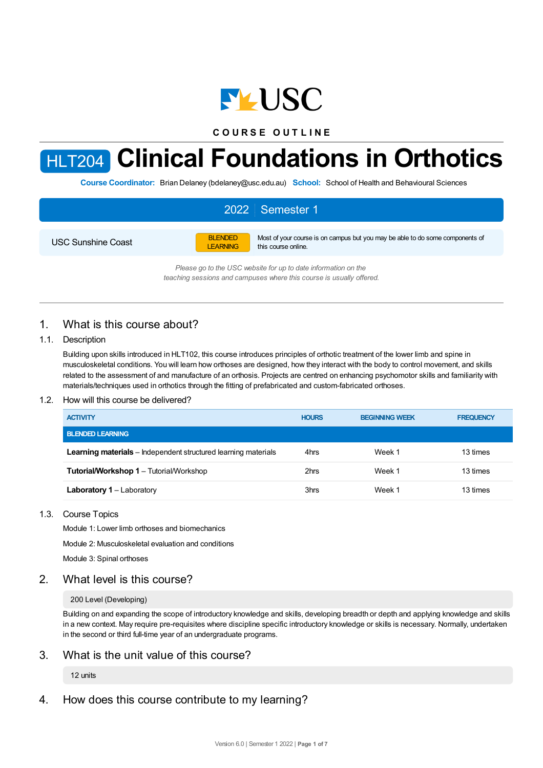

**C O U R S E O U T L I N E**

# HLT204 **Clinical Foundations in Orthotics**

**Course Coordinator:** Brian Delaney (bdelaney@usc.edu.au) **School:** School of Health and Behavioural Sciences

#### 2022 Semester 1 USC Sunshine Coast BLENDED LEARNING Most of your course is on campus but you may be able to do some components of this course online.

*Please go to the USC website for up to date information on the teaching sessions and campuses where this course is usually offered.*

# 1. What is this course about?

#### 1.1. Description

Building upon skills introduced in HLT102, this course introduces principles of orthotic treatment of the lower limb and spine in musculoskeletal conditions. You will learn how orthoses are designed, how they interact with the body to control movement, and skills related to the assessment of and manufacture of an orthosis. Projects are centred on enhancing psychomotor skills and familiarity with materials/techniques used in orthotics through the fitting of prefabricated and custom-fabricated orthoses.

#### 1.2. How will this course be delivered?

| <b>ACTIVITY</b>                                                       | <b>HOURS</b> | <b>BEGINNING WEEK</b> | <b>FREQUENCY</b> |
|-----------------------------------------------------------------------|--------------|-----------------------|------------------|
| <b>BLENDED LEARNING</b>                                               |              |                       |                  |
| <b>Learning materials</b> – Independent structured learning materials | 4hrs         | Week 1                | 13 times         |
| <b>Tutorial/Workshop 1 – Tutorial/Workshop</b>                        | 2hrs         | Week 1                | 13 times         |
| <b>Laboratory 1 – Laboratory</b>                                      | 3hrs         | Week 1                | 13 times         |

#### 1.3. Course Topics

Module 1: Lower limb orthoses and biomechanics

Module 2: Musculoskeletal evaluation and conditions

Module 3: Spinal orthoses

## 2. What level is this course?

#### 200 Level (Developing)

Building on and expanding the scope of introductory knowledge and skills, developing breadth or depth and applying knowledge and skills in a new context. May require pre-requisites where discipline specific introductory knowledge or skills is necessary. Normally, undertaken in the second or third full-time year of an undergraduate programs.

## 3. What is the unit value of this course?

## 12 units

# 4. How does this course contribute to my learning?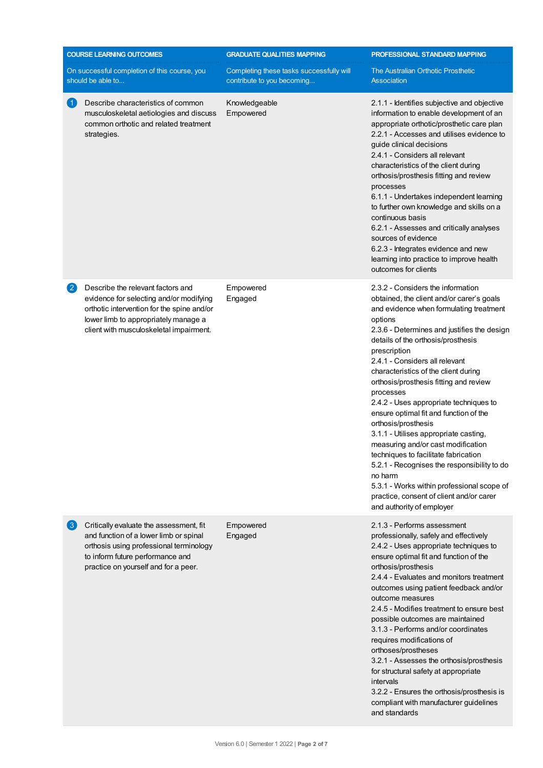| <b>COURSE LEARNING OUTCOMES</b> |                                                                                                                                                                                                               | <b>GRADUATE QUALITIES MAPPING</b>                                      | PROFESSIONAL STANDARD MAPPING                                                                                                                                                                                                                                                                                                                                                                                                                                                                                                                                                                                                                                                                                                                                                                 |  |
|---------------------------------|---------------------------------------------------------------------------------------------------------------------------------------------------------------------------------------------------------------|------------------------------------------------------------------------|-----------------------------------------------------------------------------------------------------------------------------------------------------------------------------------------------------------------------------------------------------------------------------------------------------------------------------------------------------------------------------------------------------------------------------------------------------------------------------------------------------------------------------------------------------------------------------------------------------------------------------------------------------------------------------------------------------------------------------------------------------------------------------------------------|--|
|                                 | On successful completion of this course, you<br>should be able to                                                                                                                                             | Completing these tasks successfully will<br>contribute to you becoming | The Australian Orthotic Prosthetic<br><b>Association</b>                                                                                                                                                                                                                                                                                                                                                                                                                                                                                                                                                                                                                                                                                                                                      |  |
| $\blacktriangleleft$            | Describe characteristics of common<br>musculoskeletal aetiologies and discuss<br>common orthotic and related treatment<br>strategies.                                                                         | Knowledgeable<br>Empowered                                             | 2.1.1 - Identifies subjective and objective<br>information to enable development of an<br>appropriate orthotic/prosthetic care plan<br>2.2.1 - Accesses and utilises evidence to<br>guide clinical decisions<br>2.4.1 - Considers all relevant<br>characteristics of the client during<br>orthosis/prosthesis fitting and review<br>processes<br>6.1.1 - Undertakes independent learning<br>to further own knowledge and skills on a<br>continuous basis<br>6.2.1 - Assesses and critically analyses<br>sources of evidence<br>6.2.3 - Integrates evidence and new<br>learning into practice to improve health<br>outcomes for clients                                                                                                                                                        |  |
| $\left( 2\right)$               | Describe the relevant factors and<br>evidence for selecting and/or modifying<br>orthotic intervention for the spine and/or<br>lower limb to appropriately manage a<br>client with musculoskeletal impairment. | Empowered<br>Engaged                                                   | 2.3.2 - Considers the information<br>obtained, the client and/or carer's goals<br>and evidence when formulating treatment<br>options<br>2.3.6 - Determines and justifies the design<br>details of the orthosis/prosthesis<br>prescription<br>2.4.1 - Considers all relevant<br>characteristics of the client during<br>orthosis/prosthesis fitting and review<br>processes<br>2.4.2 - Uses appropriate techniques to<br>ensure optimal fit and function of the<br>orthosis/prosthesis<br>3.1.1 - Utilises appropriate casting,<br>measuring and/or cast modification<br>techniques to facilitate fabrication<br>5.2.1 - Recognises the responsibility to do<br>no harm<br>5.3.1 - Works within professional scope of<br>practice, consent of client and/or carer<br>and authority of employer |  |
| $\lfloor 3 \rfloor$             | Critically evaluate the assessment, fit<br>and function of a lower limb or spinal<br>orthosis using professional terminology<br>to inform future performance and<br>practice on yourself and for a peer.      | Empowered<br>Engaged                                                   | 2.1.3 - Performs assessment<br>professionally, safely and effectively<br>2.4.2 - Uses appropriate techniques to<br>ensure optimal fit and function of the<br>orthosis/prosthesis<br>2.4.4 - Evaluates and monitors treatment<br>outcomes using patient feedback and/or<br>outcome measures<br>2.4.5 - Modifies treatment to ensure best<br>possible outcomes are maintained<br>3.1.3 - Performs and/or coordinates<br>requires modifications of<br>orthoses/prostheses<br>3.2.1 - Assesses the orthosis/prosthesis<br>for structural safety at appropriate<br>intervals<br>3.2.2 - Ensures the orthosis/prosthesis is<br>compliant with manufacturer guidelines<br>and standards                                                                                                              |  |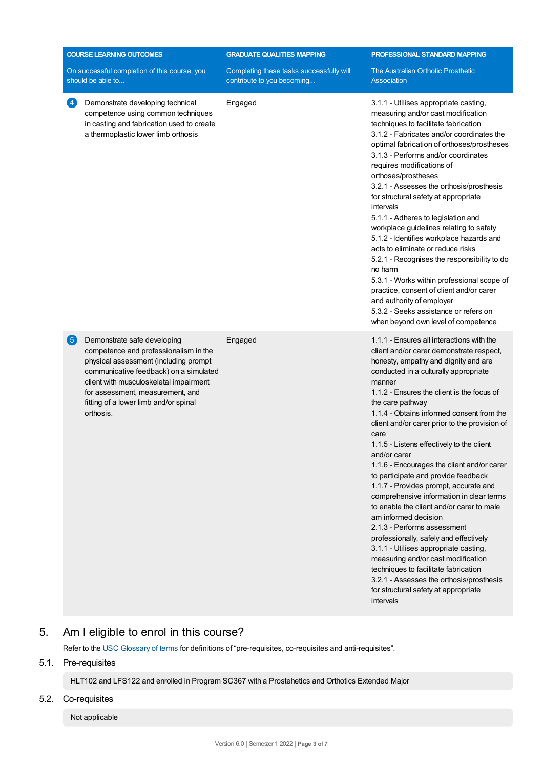| <b>COURSE LEARNING OUTCOMES</b><br>On successful completion of this course, you<br>should be able to |                                                                                                                                                                                                                                                                                             | <b>GRADUATE QUALITIES MAPPING</b>                                      | PROFESSIONAL STANDARD MAPPING<br>The Australian Orthotic Prosthetic<br><b>Association</b>                                                                                                                                                                                                                                                                                                                                                                                                                                                                                                                                                                                                                                                                                                                                                                                                                                                                             |  |
|------------------------------------------------------------------------------------------------------|---------------------------------------------------------------------------------------------------------------------------------------------------------------------------------------------------------------------------------------------------------------------------------------------|------------------------------------------------------------------------|-----------------------------------------------------------------------------------------------------------------------------------------------------------------------------------------------------------------------------------------------------------------------------------------------------------------------------------------------------------------------------------------------------------------------------------------------------------------------------------------------------------------------------------------------------------------------------------------------------------------------------------------------------------------------------------------------------------------------------------------------------------------------------------------------------------------------------------------------------------------------------------------------------------------------------------------------------------------------|--|
|                                                                                                      |                                                                                                                                                                                                                                                                                             | Completing these tasks successfully will<br>contribute to you becoming |                                                                                                                                                                                                                                                                                                                                                                                                                                                                                                                                                                                                                                                                                                                                                                                                                                                                                                                                                                       |  |
| $\overline{4}$                                                                                       | Demonstrate developing technical<br>competence using common techniques<br>in casting and fabrication used to create<br>a thermoplastic lower limb orthosis                                                                                                                                  | Engaged                                                                | 3.1.1 - Utilises appropriate casting,<br>measuring and/or cast modification<br>techniques to facilitate fabrication<br>3.1.2 - Fabricates and/or coordinates the<br>optimal fabrication of orthoses/prostheses<br>3.1.3 - Performs and/or coordinates<br>requires modifications of<br>orthoses/prostheses<br>3.2.1 - Assesses the orthosis/prosthesis<br>for structural safety at appropriate<br>intervals<br>5.1.1 - Adheres to legislation and<br>workplace guidelines relating to safety<br>5.1.2 - Identifies workplace hazards and<br>acts to eliminate or reduce risks<br>5.2.1 - Recognises the responsibility to do<br>no harm<br>5.3.1 - Works within professional scope of<br>practice, consent of client and/or carer<br>and authority of employer<br>5.3.2 - Seeks assistance or refers on<br>when beyond own level of competence                                                                                                                         |  |
| 6                                                                                                    | Demonstrate safe developing<br>competence and professionalism in the<br>physical assessment (including prompt<br>communicative feedback) on a simulated<br>client with musculoskeletal impairment<br>for assessment, measurement, and<br>fitting of a lower limb and/or spinal<br>orthosis. | Engaged                                                                | 1.1.1 - Ensures all interactions with the<br>client and/or carer demonstrate respect,<br>honesty, empathy and dignity and are<br>conducted in a culturally appropriate<br>manner<br>1.1.2 - Ensures the client is the focus of<br>the care pathway<br>1.1.4 - Obtains informed consent from the<br>client and/or carer prior to the provision of<br>care<br>1.1.5 - Listens effectively to the client<br>and/or carer<br>1.1.6 - Encourages the client and/or carer<br>to participate and provide feedback<br>1.1.7 - Provides prompt, accurate and<br>comprehensive information in clear terms<br>to enable the client and/or carer to male<br>am informed decision<br>2.1.3 - Performs assessment<br>professionally, safely and effectively<br>3.1.1 - Utilises appropriate casting,<br>measuring and/or cast modification<br>techniques to facilitate fabrication<br>3.2.1 - Assesses the orthosis/prosthesis<br>for structural safety at appropriate<br>intervals |  |

# 5. Am Ieligible to enrol in this course?

Refer to the USC [Glossary](https://www.usc.edu.au/about/policies-and-procedures/glossary-of-terms-for-policy-and-procedures) of terms for definitions of "pre-requisites, co-requisites and anti-requisites".

## 5.1. Pre-requisites

HLT102 and LFS122 and enrolled in Program SC367 with a Prostehetics and Orthotics Extended Major

#### 5.2. Co-requisites

Not applicable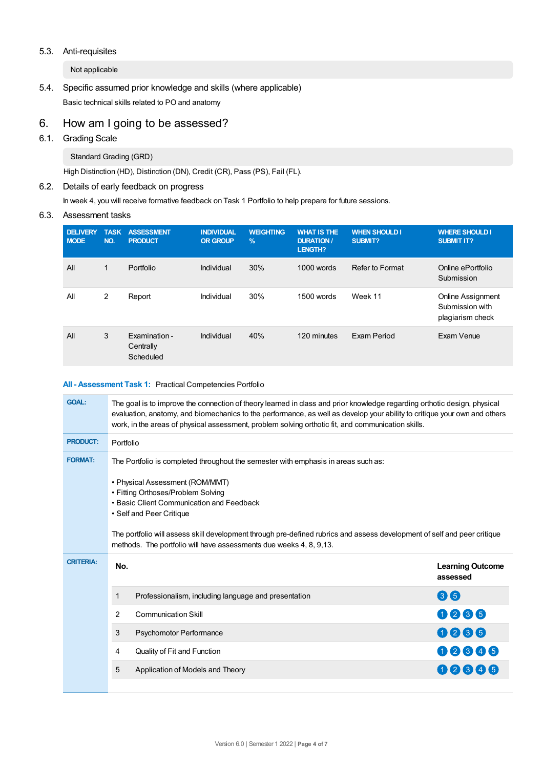#### 5.3. Anti-requisites

Not applicable

5.4. Specific assumed prior knowledge and skills (where applicable) Basic technical skills related to PO and anatomy

## 6. How am Igoing to be assessed?

6.1. Grading Scale

Standard Grading (GRD)

High Distinction (HD), Distinction (DN), Credit (CR), Pass (PS), Fail (FL).

## 6.2. Details of early feedback on progress

In week 4, you will receive formative feedback on Task 1 Portfolio to help prepare for future sessions.

#### 6.3. Assessment tasks

| <b>DELIVERY</b><br><b>MODE</b> | <b>TASK</b><br>NO. | <b>ASSESSMENT</b><br><b>PRODUCT</b>     | <b>INDIVIDUAL</b><br><b>OR GROUP</b> | <b>WEIGHTING</b><br>$\frac{9}{6}$ | <b>WHAT IS THE</b><br><b>DURATION/</b><br><b>LENGTH?</b> | <b>WHEN SHOULD I</b><br>SUBMIT? | <b>WHERE SHOULD I</b><br><b>SUBMIT IT?</b>                      |
|--------------------------------|--------------------|-----------------------------------------|--------------------------------------|-----------------------------------|----------------------------------------------------------|---------------------------------|-----------------------------------------------------------------|
| All                            | 1                  | Portfolio                               | Individual                           | 30%                               | $1000$ words                                             | Refer to Format                 | Online ePortfolio<br>Submission                                 |
| All                            | 2                  | Report                                  | Individual                           | 30%                               | 1500 words                                               | Week 11                         | <b>Online Assignment</b><br>Submission with<br>plagiarism check |
| All                            | 3                  | Examination -<br>Centrally<br>Scheduled | Individual                           | 40%                               | 120 minutes                                              | Exam Period                     | Exam Venue                                                      |

#### **All - Assessment Task 1:** Practical Competencies Portfolio

| <b>GOAL:</b>     | The goal is to improve the connection of theory learned in class and prior knowledge regarding orthotic design, physical<br>evaluation, anatomy, and biomechanics to the performance, as well as develop your ability to critique your own and others<br>work, in the areas of physical assessment, problem solving orthotic fit, and communication skills.                                                                            |                                                      |                                     |  |  |
|------------------|----------------------------------------------------------------------------------------------------------------------------------------------------------------------------------------------------------------------------------------------------------------------------------------------------------------------------------------------------------------------------------------------------------------------------------------|------------------------------------------------------|-------------------------------------|--|--|
| <b>PRODUCT:</b>  | Portfolio                                                                                                                                                                                                                                                                                                                                                                                                                              |                                                      |                                     |  |  |
| <b>FORMAT:</b>   | The Portfolio is completed throughout the semester with emphasis in areas such as:<br>• Physical Assessment (ROM/MMT)<br>• Fitting Orthoses/Problem Solving<br>• Basic Client Communication and Feedback<br>• Self and Peer Critique<br>The portfolio will assess skill development through pre-defined rubrics and assess development of self and peer critique<br>methods. The portfolio will have assessments due weeks 4, 8, 9,13. |                                                      |                                     |  |  |
|                  |                                                                                                                                                                                                                                                                                                                                                                                                                                        |                                                      |                                     |  |  |
| <b>CRITERIA:</b> | No.                                                                                                                                                                                                                                                                                                                                                                                                                                    |                                                      | <b>Learning Outcome</b><br>assessed |  |  |
|                  | 1                                                                                                                                                                                                                                                                                                                                                                                                                                      | Professionalism, including language and presentation | 86                                  |  |  |
|                  | $\overline{2}$                                                                                                                                                                                                                                                                                                                                                                                                                         | <b>Communication Skill</b>                           | 0006                                |  |  |
|                  | 3                                                                                                                                                                                                                                                                                                                                                                                                                                      | <b>Psychomotor Performance</b>                       | 0006                                |  |  |
|                  | 4                                                                                                                                                                                                                                                                                                                                                                                                                                      | Quality of Fit and Function                          | 00006                               |  |  |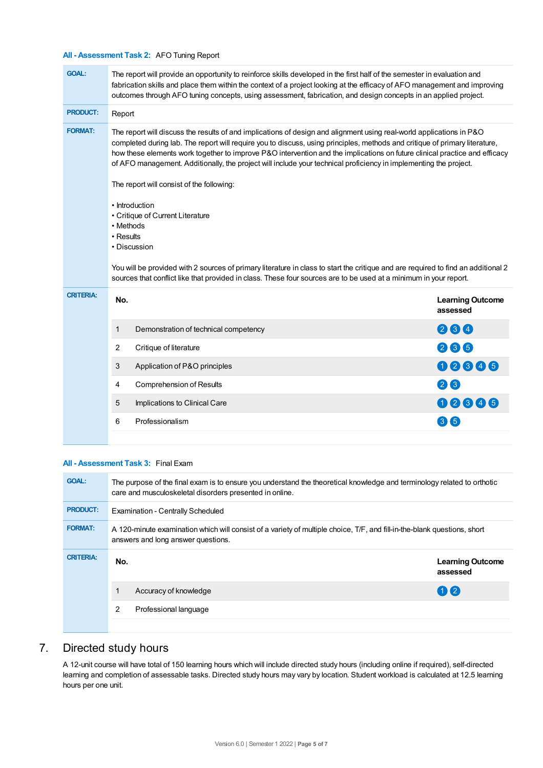#### **All - Assessment Task 2:** AFO Tuning Report

| <b>GOAL:</b>     | The report will provide an opportunity to reinforce skills developed in the first half of the semester in evaluation and<br>fabrication skills and place them within the context of a project looking at the efficacy of AFO management and improving<br>outcomes through AFO tuning concepts, using assessment, fabrication, and design concepts in an applied project.                                                                                                                                                                            |                                     |  |  |  |  |
|------------------|-----------------------------------------------------------------------------------------------------------------------------------------------------------------------------------------------------------------------------------------------------------------------------------------------------------------------------------------------------------------------------------------------------------------------------------------------------------------------------------------------------------------------------------------------------|-------------------------------------|--|--|--|--|
| <b>PRODUCT:</b>  | Report                                                                                                                                                                                                                                                                                                                                                                                                                                                                                                                                              |                                     |  |  |  |  |
| <b>FORMAT:</b>   | The report will discuss the results of and implications of design and alignment using real-world applications in P&O<br>completed during lab. The report will require you to discuss, using principles, methods and critique of primary literature,<br>how these elements work together to improve P&O intervention and the implications on future clinical practice and efficacy<br>of AFO management. Additionally, the project will include your technical proficiency in implementing the project.<br>The report will consist of the following: |                                     |  |  |  |  |
|                  | • Introduction<br>• Critique of Current Literature<br>• Methods<br>• Results<br>• Discussion<br>You will be provided with 2 sources of primary literature in class to start the critique and are required to find an additional 2<br>sources that conflict like that provided in class. These four sources are to be used at a minimum in your report.                                                                                                                                                                                              |                                     |  |  |  |  |
| <b>CRITERIA:</b> | No.                                                                                                                                                                                                                                                                                                                                                                                                                                                                                                                                                 | <b>Learning Outcome</b><br>assessed |  |  |  |  |
|                  | 1<br>Demonstration of technical competency                                                                                                                                                                                                                                                                                                                                                                                                                                                                                                          | 064                                 |  |  |  |  |
|                  | 2<br>Critique of literature                                                                                                                                                                                                                                                                                                                                                                                                                                                                                                                         | 266                                 |  |  |  |  |
|                  | 3<br>Application of P&O principles                                                                                                                                                                                                                                                                                                                                                                                                                                                                                                                  | 00006                               |  |  |  |  |
|                  | 4<br><b>Comprehension of Results</b>                                                                                                                                                                                                                                                                                                                                                                                                                                                                                                                | 26                                  |  |  |  |  |
|                  | 5<br>Implications to Clinical Care                                                                                                                                                                                                                                                                                                                                                                                                                                                                                                                  | 00006                               |  |  |  |  |
|                  |                                                                                                                                                                                                                                                                                                                                                                                                                                                                                                                                                     |                                     |  |  |  |  |
|                  | Professionalism<br>6                                                                                                                                                                                                                                                                                                                                                                                                                                                                                                                                | 36                                  |  |  |  |  |

#### **All - Assessment Task 3:** Final Exam

| <b>GOAL:</b>     | The purpose of the final exam is to ensure you understand the theoretical knowledge and terminology related to orthotic<br>care and musculoskeletal disorders presented in online. |                                     |  |  |  |  |
|------------------|------------------------------------------------------------------------------------------------------------------------------------------------------------------------------------|-------------------------------------|--|--|--|--|
| <b>PRODUCT:</b>  | Examination - Centrally Scheduled                                                                                                                                                  |                                     |  |  |  |  |
| <b>FORMAT:</b>   | A 120-minute examination which will consist of a variety of multiple choice, T/F, and fill-in-the-blank questions, short<br>answers and long answer questions.                     |                                     |  |  |  |  |
| <b>CRITERIA:</b> | No.                                                                                                                                                                                | <b>Learning Outcome</b><br>assessed |  |  |  |  |
|                  | Accuracy of knowledge                                                                                                                                                              | $(1)$ $(2)$                         |  |  |  |  |
|                  | 2<br>Professional language                                                                                                                                                         |                                     |  |  |  |  |
|                  |                                                                                                                                                                                    |                                     |  |  |  |  |

# 7. Directed study hours

A 12-unit course will have total of 150 learning hours which will include directed study hours (including online if required), self-directed learning and completion of assessable tasks. Directed study hours may vary by location. Student workload is calculated at 12.5 learning hours per one unit.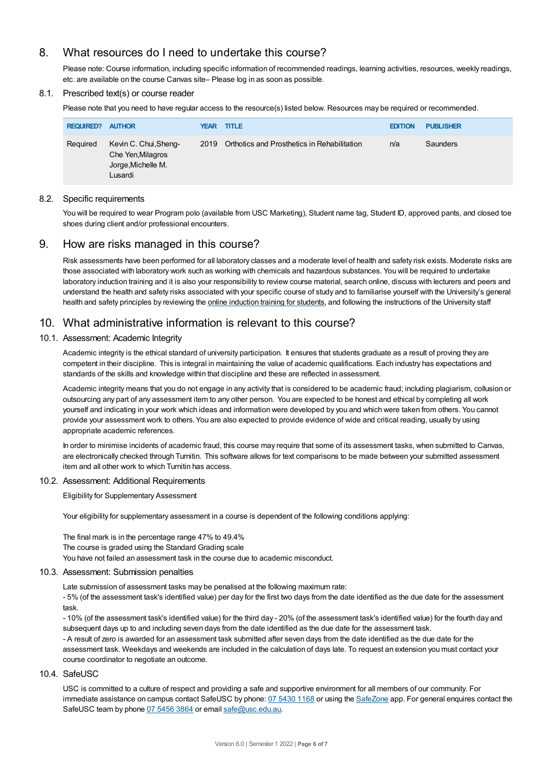# 8. What resources do I need to undertake this course?

Please note: Course information, including specific information of recommended readings, learning activities, resources, weekly readings, etc. are available on the course Canvas site– Please log in as soon as possible.

#### 8.1. Prescribed text(s) or course reader

Please note that you need to have regular access to the resource(s) listed below. Resources may be required or recommended.

| <b>REQUIRED? AUTHOR</b> |                                                                             | <b>YEAR TITLE</b> |                                                  | <b>EDITION</b> | <b>PUBLISHER</b> |
|-------------------------|-----------------------------------------------------------------------------|-------------------|--------------------------------------------------|----------------|------------------|
| Required                | Kevin C. Chui, Sheng-<br>Che Yen, Milagros<br>Jorge, Michelle M.<br>Lusardi |                   | 2019 Orthotics and Prosthetics in Rehabilitation | n/a            | Saunders         |

#### 8.2. Specific requirements

You will be required to wear Program polo (available from USC Marketing), Student name tag, Student ID, approved pants, and closed toe shoes during client and/or professional encounters.

## 9. How are risks managed in this course?

Risk assessments have been performed for all laboratory classes and a moderate level of health and safety risk exists. Moderate risks are those associated with laboratory work such as working with chemicals and hazardous substances. You will be required to undertake laboratory induction training and it is also your responsibility to review course material, search online, discuss with lecturers and peers and understand the health and safety risks associated with your specific course of study and to familiarise yourself with the University's general health and safety principles by reviewing the online [induction](https://online.usc.edu.au/webapps/blackboard/content/listContentEditable.jsp?content_id=_632657_1&course_id=_14432_1) training for students, and following the instructions of the University staff

## 10. What administrative information is relevant to this course?

#### 10.1. Assessment: Academic Integrity

Academic integrity is the ethical standard of university participation. It ensures that students graduate as a result of proving they are competent in their discipline. This is integral in maintaining the value of academic qualifications. Each industry has expectations and standards of the skills and knowledge within that discipline and these are reflected in assessment.

Academic integrity means that you do not engage in any activity that is considered to be academic fraud; including plagiarism, collusion or outsourcing any part of any assessment item to any other person. You are expected to be honest and ethical by completing all work yourself and indicating in your work which ideas and information were developed by you and which were taken from others. You cannot provide your assessment work to others. You are also expected to provide evidence of wide and critical reading, usually by using appropriate academic references.

In order to minimise incidents of academic fraud, this course may require that some of its assessment tasks, when submitted to Canvas, are electronically checked through Turnitin. This software allows for text comparisons to be made between your submitted assessment item and all other work to which Turnitin has access.

#### 10.2. Assessment: Additional Requirements

Eligibility for Supplementary Assessment

Your eligibility for supplementary assessment in a course is dependent of the following conditions applying:

The final mark is in the percentage range 47% to 49.4% The course is graded using the Standard Grading scale You have not failed an assessment task in the course due to academic misconduct.

#### 10.3. Assessment: Submission penalties

Late submission of assessment tasks may be penalised at the following maximum rate:

- 5% (of the assessment task's identified value) per day for the first two days from the date identified as the due date for the assessment task.

- 10% (of the assessment task's identified value) for the third day - 20% (of the assessment task's identified value) for the fourth day and subsequent days up to and including seven days from the date identified as the due date for the assessment task. - A result of zero is awarded for an assessment task submitted after seven days from the date identified as the due date for the assessment task. Weekdays and weekends are included in the calculation of days late. To request an extension you must contact your course coordinator to negotiate an outcome.

#### 10.4. SafeUSC

USC is committed to a culture of respect and providing a safe and supportive environment for all members of our community. For immediate assistance on campus contact SafeUSC by phone: 07 [5430](tel:07%205430%201168) 1168 or using the [SafeZone](https://www.safezoneapp.com) app. For general enquires contact the SafeUSC team by phone 07 [5456](tel:07%205456%203864) 3864 or email [safe@usc.edu.au](mailto:safe@usc.edu.au).